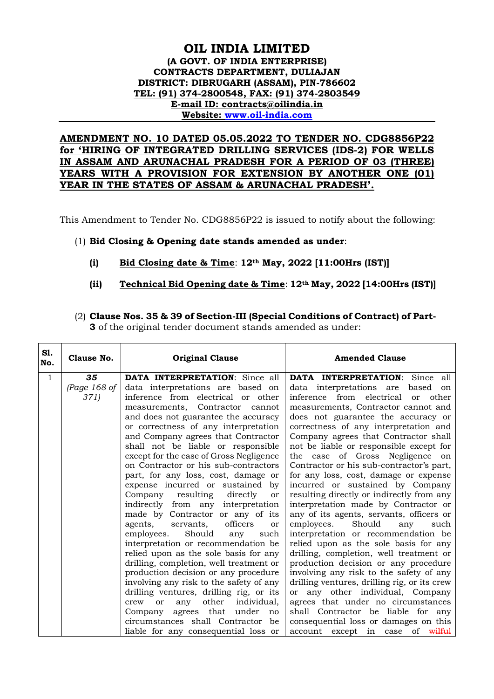## **OIL INDIA LIMITED (A GOVT. OF INDIA ENTERPRISE) CONTRACTS DEPARTMENT, DULIAJAN DISTRICT: DIBRUGARH (ASSAM), PIN-786602 TEL: (91) 374-2800548, FAX: (91) 374-2803549 E-mail ID: contracts@oilindia.in Website: [www.oil-india.com](http://www.oil-india.com/)**

## **AMENDMENT NO. 10 DATED 05.05.2022 TO TENDER NO. CDG8856P22 for 'HIRING OF INTEGRATED DRILLING SERVICES (IDS-2) FOR WELLS IN ASSAM AND ARUNACHAL PRADESH FOR A PERIOD OF 03 (THREE) YEARS WITH A PROVISION FOR EXTENSION BY ANOTHER ONE (01) YEAR IN THE STATES OF ASSAM & ARUNACHAL PRADESH'.**

This Amendment to Tender No. CDG8856P22 is issued to notify about the following:

(1) **Bid Closing & Opening date stands amended as under**:

 $\Gamma$ 

 $\overline{\phantom{a}}$ 

- **(i) Bid Closing date & Time**: **12th May, 2022 [11:00Hrs (IST)]**
- **(ii) Technical Bid Opening date & Time**: **12th May, 2022 [14:00Hrs (IST)]**
- (2) **Clause Nos. 35 & 39 of Section-III (Special Conditions of Contract) of Part-3** of the original tender document stands amended as under:

| S1.<br>No.   | Clause No.   | <b>Original Clause</b>                                                     | <b>Amended Clause</b>                                                           |
|--------------|--------------|----------------------------------------------------------------------------|---------------------------------------------------------------------------------|
| $\mathbf{1}$ | 35           | <b>DATA INTERPRETATION:</b> Since all                                      | <b>DATA INTERPRETATION:</b> Since all                                           |
|              | (Page 168 of | data interpretations are based on                                          | data interpretations are<br>based<br>on                                         |
|              | 371)         | inference from electrical or other                                         | inference from electrical<br>other<br><sub>or</sub>                             |
|              |              | measurements, Contractor<br>cannot                                         | measurements, Contractor cannot and                                             |
|              |              | and does not guarantee the accuracy                                        | does not guarantee the accuracy or                                              |
|              |              | or correctness of any interpretation                                       | correctness of any interpretation and                                           |
|              |              | and Company agrees that Contractor                                         | Company agrees that Contractor shall                                            |
|              |              | shall not be liable or responsible                                         | not be liable or responsible except for                                         |
|              |              | except for the case of Gross Negligence                                    | the case of Gross Negligence on                                                 |
|              |              | on Contractor or his sub-contractors                                       | Contractor or his sub-contractor's part,                                        |
|              |              | part, for any loss, cost, damage or                                        | for any loss, cost, damage or expense                                           |
|              |              | expense incurred or sustained by                                           | incurred or sustained by Company                                                |
|              |              | resulting<br>Company<br>directly<br>or                                     | resulting directly or indirectly from any                                       |
|              |              | indirectly from any interpretation                                         | interpretation made by Contractor or                                            |
|              |              | made by Contractor or any of its<br>agents,<br>servants,<br>officers<br>or | any of its agents, servants, officers or<br>Should<br>employees.<br>any<br>such |
|              |              | Should<br>employees.<br>such<br>any                                        | interpretation or recommendation be                                             |
|              |              | interpretation or recommendation be                                        | relied upon as the sole basis for any                                           |
|              |              | relied upon as the sole basis for any                                      | drilling, completion, well treatment or                                         |
|              |              | drilling, completion, well treatment or                                    | production decision or any procedure                                            |
|              |              | production decision or any procedure                                       | involving any risk to the safety of any                                         |
|              |              | involving any risk to the safety of any                                    | drilling ventures, drilling rig, or its crew                                    |
|              |              | drilling ventures, drilling rig, or its                                    | or any other individual, Company                                                |
|              |              | other<br>individual,<br>or<br>any<br>crew                                  | agrees that under no circumstances                                              |
|              |              | agrees that under<br>Company<br>no                                         | shall Contractor be liable for any                                              |
|              |              | circumstances shall Contractor be                                          | consequential loss or damages on this                                           |
|              |              | liable for any consequential loss or                                       | of <del>wilful</del><br>account except in case                                  |